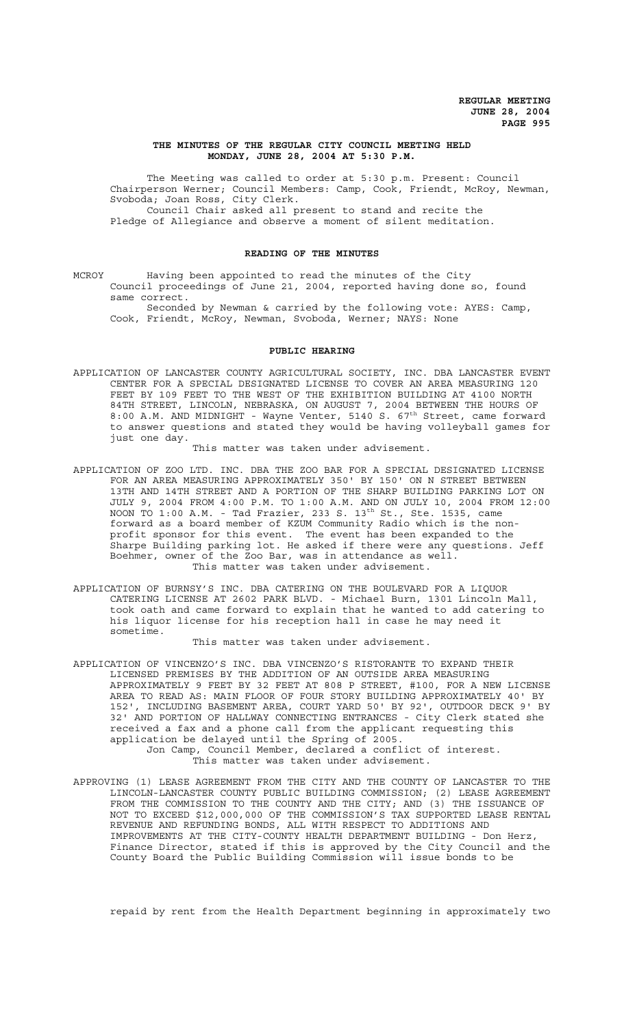### **THE MINUTES OF THE REGULAR CITY COUNCIL MEETING HELD MONDAY, JUNE 28, 2004 AT 5:30 P.M.**

The Meeting was called to order at 5:30 p.m. Present: Council Chairperson Werner; Council Members: Camp, Cook, Friendt, McRoy, Newman, Svoboda; Joan Ross, City Clerk. Council Chair asked all present to stand and recite the Pledge of Allegiance and observe a moment of silent meditation.

#### **READING OF THE MINUTES**

MCROY Having been appointed to read the minutes of the City Council proceedings of June 21, 2004, reported having done so, found same correct.

Seconded by Newman & carried by the following vote: AYES: Camp, Cook, Friendt, McRoy, Newman, Svoboda, Werner; NAYS: None

### **PUBLIC HEARING**

APPLICATION OF LANCASTER COUNTY AGRICULTURAL SOCIETY, INC. DBA LANCASTER EVENT CENTER FOR A SPECIAL DESIGNATED LICENSE TO COVER AN AREA MEASURING 120 FEET BY 109 FEET TO THE WEST OF THE EXHIBITION BUILDING AT 4100 NORTH 84TH STREET, LINCOLN, NEBRASKA, ON AUGUST 7, 2004 BETWEEN THE HOURS OF 8:00 A.M. AND MIDNIGHT - Wayne Venter, 5140 S. 67<sup>th</sup> Street, came forward to answer questions and stated they would be having volleyball games for just one day.

This matter was taken under advisement.

- APPLICATION OF ZOO LTD. INC. DBA THE ZOO BAR FOR A SPECIAL DESIGNATED LICENSE FOR AN AREA MEASURING APPROXIMATELY 350' BY 150' ON N STREET BETWEEN 13TH AND 14TH STREET AND A PORTION OF THE SHARP BUILDING PARKING LOT ON JULY 9, 2004 FROM 4:00 P.M. TO 1:00 A.M. AND ON JULY 10, 2004 FROM 12:00 NOON TO  $1:00$   $\text{A.M.}$  - Tad Frazier, 233 S.  $13^\text{th}$  St., Ste. 1535, came forward as a board member of KZUM Community Radio which is the nonprofit sponsor for this event. The event has been expanded to the Sharpe Building parking lot. He asked if there were any questions. Jeff Boehmer, owner of the Zoo Bar, was in attendance as well. This matter was taken under advisement.
- APPLICATION OF BURNSY'S INC. DBA CATERING ON THE BOULEVARD FOR A LIQUOR CATERING LICENSE AT 2602 PARK BLVD. - Michael Burn, 1301 Lincoln Mall, took oath and came forward to explain that he wanted to add catering to his liquor license for his reception hall in case he may need it sometime.

This matter was taken under advisement.

APPLICATION OF VINCENZO'S INC. DBA VINCENZO'S RISTORANTE TO EXPAND THEIR LICENSED PREMISES BY THE ADDITION OF AN OUTSIDE AREA MEASURING APPROXIMATELY 9 FEET BY 32 FEET AT 808 P STREET, #100, FOR A NEW LICENSE AREA TO READ AS: MAIN FLOOR OF FOUR STORY BUILDING APPROXIMATELY 40' BY 152', INCLUDING BASEMENT AREA, COURT YARD 50' BY 92', OUTDOOR DECK 9' BY 32' AND PORTION OF HALLWAY CONNECTING ENTRANCES - City Clerk stated she received a fax and a phone call from the applicant requesting this application be delayed until the Spring of 2005. Jon Camp, Council Member, declared a conflict of interest.

This matter was taken under advisement.

APPROVING (1) LEASE AGREEMENT FROM THE CITY AND THE COUNTY OF LANCASTER TO THE LINCOLN-LANCASTER COUNTY PUBLIC BUILDING COMMISSION; (2) LEASE AGREEMENT FROM THE COMMISSION TO THE COUNTY AND THE CITY; AND (3) THE ISSUANCE OF NOT TO EXCEED \$12,000,000 OF THE COMMISSION'S TAX SUPPORTED LEASE RENTAL REVENUE AND REFUNDING BONDS, ALL WITH RESPECT TO ADDITIONS AND IMPROVEMENTS AT THE CITY-COUNTY HEALTH DEPARTMENT BUILDING - Don Herz, Finance Director, stated if this is approved by the City Council and the County Board the Public Building Commission will issue bonds to be

repaid by rent from the Health Department beginning in approximately two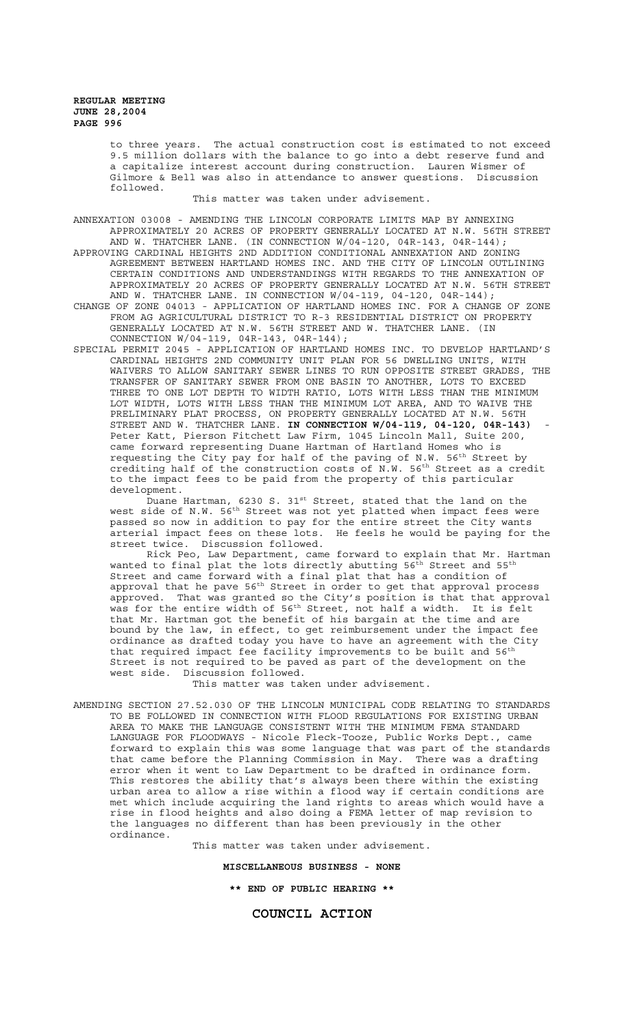to three years. The actual construction cost is estimated to not exceed 9.5 million dollars with the balance to go into a debt reserve fund and a capitalize interest account during construction. Lauren Wismer of Gilmore & Bell was also in attendance to answer questions. Discussion followed.

This matter was taken under advisement.

ANNEXATION 03008 - AMENDING THE LINCOLN CORPORATE LIMITS MAP BY ANNEXING APPROXIMATELY 20 ACRES OF PROPERTY GENERALLY LOCATED AT N.W. 56TH STREET AND W. THATCHER LANE. (IN CONNECTION W/04-120, 04R-143, 04R-144); APPROVING CARDINAL HEIGHTS 2ND ADDITION CONDITIONAL ANNEXATION AND ZONING AGREEMENT BETWEEN HARTLAND HOMES INC. AND THE CITY OF LINCOLN OUTLINING CERTAIN CONDITIONS AND UNDERSTANDINGS WITH REGARDS TO THE ANNEXATION OF APPROXIMATELY 20 ACRES OF PROPERTY GENERALLY LOCATED AT N.W. 56TH STREET AND W. THATCHER LANE. IN CONNECTION W/04-119, 04-120, 04R-144);

CHANGE OF ZONE 04013 - APPLICATION OF HARTLAND HOMES INC. FOR A CHANGE OF ZONE FROM AG AGRICULTURAL DISTRICT TO R-3 RESIDENTIAL DISTRICT ON PROPERTY GENERALLY LOCATED AT N.W. 56TH STREET AND W. THATCHER LANE. (IN CONNECTION W/04-119, 04R-143, 04R-144);

SPECIAL PERMIT 2045 - APPLICATION OF HARTLAND HOMES INC. TO DEVELOP HARTLAND'S CARDINAL HEIGHTS 2ND COMMUNITY UNIT PLAN FOR 56 DWELLING UNITS, WITH WAIVERS TO ALLOW SANITARY SEWER LINES TO RUN OPPOSITE STREET GRADES, THE TRANSFER OF SANITARY SEWER FROM ONE BASIN TO ANOTHER, LOTS TO EXCEED THREE TO ONE LOT DEPTH TO WIDTH RATIO, LOTS WITH LESS THAN THE MINIMUM LOT WIDTH, LOTS WITH LESS THAN THE MINIMUM LOT AREA, AND TO WAIVE THE PRELIMINARY PLAT PROCESS, ON PROPERTY GENERALLY LOCATED AT N.W. 56TH STREET AND W. THATCHER LANE. **IN CONNECTION W/04-119, 04-120, 04R-143)** - Peter Katt, Pierson Fitchett Law Firm, 1045 Lincoln Mall, Suite 200, came forward representing Duane Hartman of Hartland Homes who is requesting the City pay for half of the paving of N.W.  $56^{th}$  Street by crediting half of the construction costs of N.W. 56<sup>th</sup> Street as a credit to the impact fees to be paid from the property of this particular development.

Duane Hartman, 6230 S. 31 $^{\text{st}}$  Street, stated that the land on the west side of N.W. 56<sup>th</sup> Street was not yet platted when impact fees were passed so now in addition to pay for the entire street the City wants arterial impact fees on these lots. He feels he would be paying for the street twice. Discussion followed.

Rick Peo, Law Department, came forward to explain that Mr. Hartman wanted to final plat the lots directly abutting  $56^{th}$  Street and  $55^{th}$ Street and came forward with a final plat that has a condition of approval that he pave 56<sup>th</sup> Street in order to get that approval process approved. That was granted so the City's position is that that approval was for the entire width of 56<sup>th</sup> Street, not half a width. It is felt that Mr. Hartman got the benefit of his bargain at the time and are bound by the law, in effect, to get reimbursement under the impact fee ordinance as drafted today you have to have an agreement with the City that required impact fee facility improvements to be built and 56<sup>th</sup> Street is not required to be paved as part of the development on the west side. Discussion followed.

This matter was taken under advisement.

AMENDING SECTION 27.52.030 OF THE LINCOLN MUNICIPAL CODE RELATING TO STANDARDS TO BE FOLLOWED IN CONNECTION WITH FLOOD REGULATIONS FOR EXISTING URBAN AREA TO MAKE THE LANGUAGE CONSISTENT WITH THE MINIMUM FEMA STANDARD LANGUAGE FOR FLOODWAYS - Nicole Fleck-Tooze, Public Works Dept., came forward to explain this was some language that was part of the standards that came before the Planning Commission in May. There was a drafting error when it went to Law Department to be drafted in ordinance form. This restores the ability that's always been there within the existing urban area to allow a rise within a flood way if certain conditions are met which include acquiring the land rights to areas which would have a rise in flood heights and also doing a FEMA letter of map revision to the languages no different than has been previously in the other ordinance.

This matter was taken under advisement.

### **MISCELLANEOUS BUSINESS - NONE**

**\*\* END OF PUBLIC HEARING \*\***

## **COUNCIL ACTION**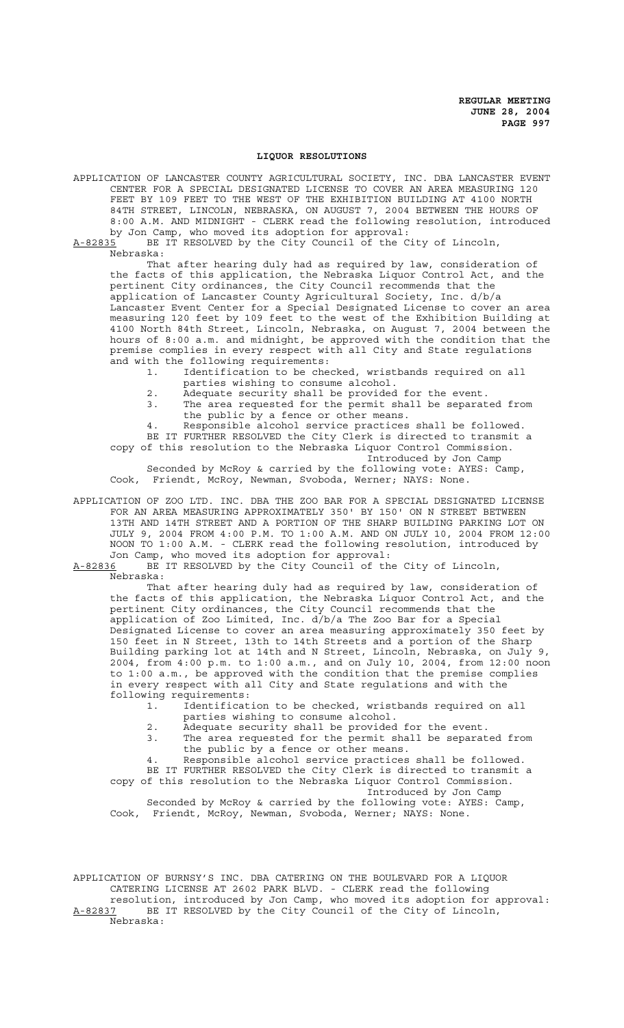#### **LIQUOR RESOLUTIONS**

APPLICATION OF LANCASTER COUNTY AGRICULTURAL SOCIETY, INC. DBA LANCASTER EVENT CENTER FOR A SPECIAL DESIGNATED LICENSE TO COVER AN AREA MEASURING 120 FEET BY 109 FEET TO THE WEST OF THE EXHIBITION BUILDING AT 4100 NORTH 84TH STREET, LINCOLN, NEBRASKA, ON AUGUST 7, 2004 BETWEEN THE HOURS OF 8:00 A.M. AND MIDNIGHT - CLERK read the following resolution, introduced by Jon Camp, who moved its adoption for approval:

A-82835 BE IT RESOLVED by the City Council of the City of Lincoln, Nebraska:

That after hearing duly had as required by law, consideration of the facts of this application, the Nebraska Liquor Control Act, and the pertinent City ordinances, the City Council recommends that the application of Lancaster County Agricultural Society, Inc. d/b/a Lancaster Event Center for a Special Designated License to cover an area measuring 120 feet by 109 feet to the west of the Exhibition Building at 4100 North 84th Street, Lincoln, Nebraska, on August 7, 2004 between the hours of 8:00 a.m. and midnight, be approved with the condition that the premise complies in every respect with all City and State regulations and with the following requirements:

1. Identification to be checked, wristbands required on all parties wishing to consume alcohol.

2. Adequate security shall be provided for the event.

3. The area requested for the permit shall be separated from the public by a fence or other means.

4. Responsible alcohol service practices shall be followed. BE IT FURTHER RESOLVED the City Clerk is directed to transmit a copy of this resolution to the Nebraska Liquor Control Commission. Introduced by Jon Camp

Seconded by McRoy & carried by the following vote: AYES: Camp, Cook, Friendt, McRoy, Newman, Svoboda, Werner; NAYS: None.

APPLICATION OF ZOO LTD. INC. DBA THE ZOO BAR FOR A SPECIAL DESIGNATED LICENSE FOR AN AREA MEASURING APPROXIMATELY 350' BY 150' ON N STREET BETWEEN 13TH AND 14TH STREET AND A PORTION OF THE SHARP BUILDING PARKING LOT ON JULY 9, 2004 FROM 4:00 P.M. TO 1:00 A.M. AND ON JULY 10, 2004 FROM 12:00 NOON TO 1:00 A.M. - CLERK read the following resolution, introduced by Jon Camp, who moved its adoption for approval:

A-82836 BE IT RESOLVED by the City Council of the City of Lincoln, Nebraska:

That after hearing duly had as required by law, consideration of the facts of this application, the Nebraska Liquor Control Act, and the pertinent City ordinances, the City Council recommends that the application of Zoo Limited, Inc. d/b/a The Zoo Bar for a Special Designated License to cover an area measuring approximately 350 feet by 150 feet in N Street, 13th to 14th Streets and a portion of the Sharp Building parking lot at 14th and N Street, Lincoln, Nebraska, on July 9, 2004, from 4:00 p.m. to 1:00 a.m., and on July 10, 2004, from 12:00 noon to 1:00 a.m., be approved with the condition that the premise complies in every respect with all City and State regulations and with the following requirements:

1. Identification to be checked, wristbands required on all parties wishing to consume alcohol.

- 2. Adequate security shall be provided for the event.
- 3. The area requested for the permit shall be separated from the public by a fence or other means.

4. Responsible alcohol service practices shall be followed. BE IT FURTHER RESOLVED the City Clerk is directed to transmit a copy of this resolution to the Nebraska Liquor Control Commission.

Introduced by Jon Camp

Seconded by McRoy & carried by the following vote: AYES: Camp, Cook, Friendt, McRoy, Newman, Svoboda, Werner; NAYS: None.

APPLICATION OF BURNSY'S INC. DBA CATERING ON THE BOULEVARD FOR A LIQUOR CATERING LICENSE AT 2602 PARK BLVD. - CLERK read the following resolution, introduced by Jon Camp, who moved its adoption for approval: A-82837 BE IT RESOLVED by the City Council of the City of Lincoln, Nebraska: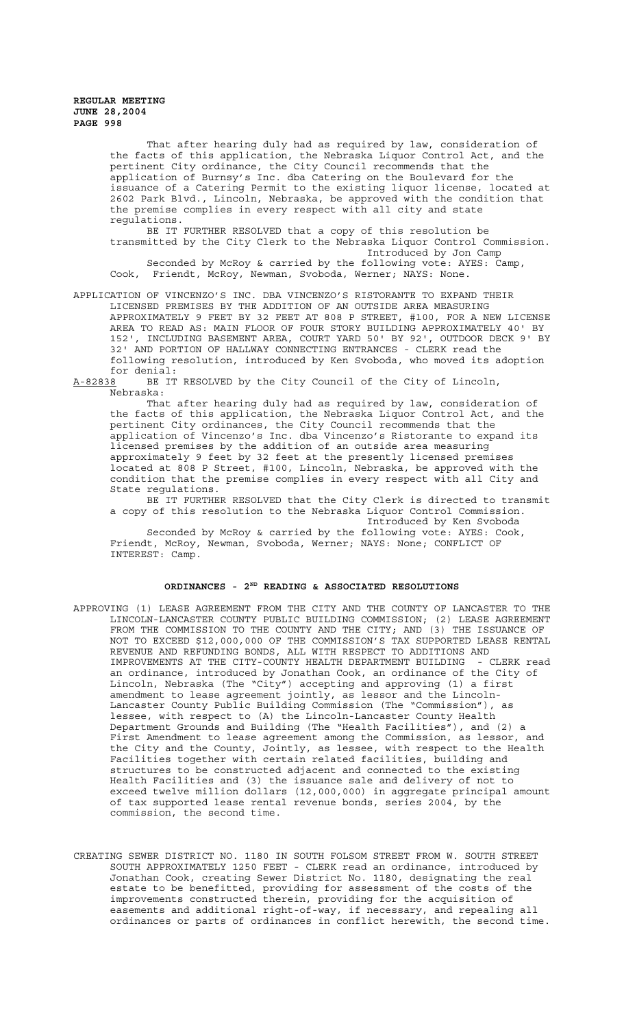That after hearing duly had as required by law, consideration of the facts of this application, the Nebraska Liquor Control Act, and the pertinent City ordinance, the City Council recommends that the application of Burnsy's Inc. dba Catering on the Boulevard for the issuance of a Catering Permit to the existing liquor license, located at 2602 Park Blvd., Lincoln, Nebraska, be approved with the condition that the premise complies in every respect with all city and state regulations.

BE IT FURTHER RESOLVED that a copy of this resolution be transmitted by the City Clerk to the Nebraska Liquor Control Commission. Introduced by Jon Camp

Seconded by McRoy & carried by the following vote: AYES: Camp, Cook, Friendt, McRoy, Newman, Svoboda, Werner; NAYS: None.

APPLICATION OF VINCENZO'S INC. DBA VINCENZO'S RISTORANTE TO EXPAND THEIR LICENSED PREMISES BY THE ADDITION OF AN OUTSIDE AREA MEASURING APPROXIMATELY 9 FEET BY 32 FEET AT 808 P STREET, #100, FOR A NEW LICENSE AREA TO READ AS: MAIN FLOOR OF FOUR STORY BUILDING APPROXIMATELY 40' BY 152', INCLUDING BASEMENT AREA, COURT YARD 50' BY 92', OUTDOOR DECK 9' BY 32' AND PORTION OF HALLWAY CONNECTING ENTRANCES - CLERK read the following resolution, introduced by Ken Svoboda, who moved its adoption for denial:<br><u>A-82838</u> BE IT

BE IT RESOLVED by the City Council of the City of Lincoln, Nebraska:

That after hearing duly had as required by law, consideration of the facts of this application, the Nebraska Liquor Control Act, and the pertinent City ordinances, the City Council recommends that the application of Vincenzo's Inc. dba Vincenzo's Ristorante to expand its licensed premises by the addition of an outside area measuring approximately 9 feet by 32 feet at the presently licensed premises located at 808 P Street, #100, Lincoln, Nebraska, be approved with the condition that the premise complies in every respect with all City and State regulations.

BE IT FURTHER RESOLVED that the City Clerk is directed to transmit a copy of this resolution to the Nebraska Liquor Control Commission. Introduced by Ken Svoboda

Seconded by McRoy & carried by the following vote: AYES: Cook, Friendt, McRoy, Newman, Svoboda, Werner; NAYS: None; CONFLICT OF INTEREST: Camp.

## **ORDINANCES - 2ND READING & ASSOCIATED RESOLUTIONS**

- APPROVING (1) LEASE AGREEMENT FROM THE CITY AND THE COUNTY OF LANCASTER TO THE LINCOLN-LANCASTER COUNTY PUBLIC BUILDING COMMISSION; (2) LEASE AGREEMENT FROM THE COMMISSION TO THE COUNTY AND THE CITY; AND (3) THE ISSUANCE OF NOT TO EXCEED \$12,000,000 OF THE COMMISSION'S TAX SUPPORTED LEASE RENTAL REVENUE AND REFUNDING BONDS, ALL WITH RESPECT TO ADDITIONS AND IMPROVEMENTS AT THE CITY-COUNTY HEALTH DEPARTMENT BUILDING - CLERK read an ordinance, introduced by Jonathan Cook, an ordinance of the City of Lincoln, Nebraska (The "City") accepting and approving (1) a first amendment to lease agreement jointly, as lessor and the Lincoln-Lancaster County Public Building Commission (The "Commission"), as lessee, with respect to (A) the Lincoln-Lancaster County Health Department Grounds and Building (The "Health Facilities"), and (2) a First Amendment to lease agreement among the Commission, as lessor, and the City and the County, Jointly, as lessee, with respect to the Health Facilities together with certain related facilities, building and structures to be constructed adjacent and connected to the existing Health Facilities and (3) the issuance sale and delivery of not to exceed twelve million dollars (12,000,000) in aggregate principal amount of tax supported lease rental revenue bonds, series 2004, by the commission, the second time.
- CREATING SEWER DISTRICT NO. 1180 IN SOUTH FOLSOM STREET FROM W. SOUTH STREET SOUTH APPROXIMATELY 1250 FEET - CLERK read an ordinance, introduced by Jonathan Cook, creating Sewer District No. 1180, designating the real estate to be benefitted, providing for assessment of the costs of the improvements constructed therein, providing for the acquisition of easements and additional right-of-way, if necessary, and repealing all ordinances or parts of ordinances in conflict herewith, the second time.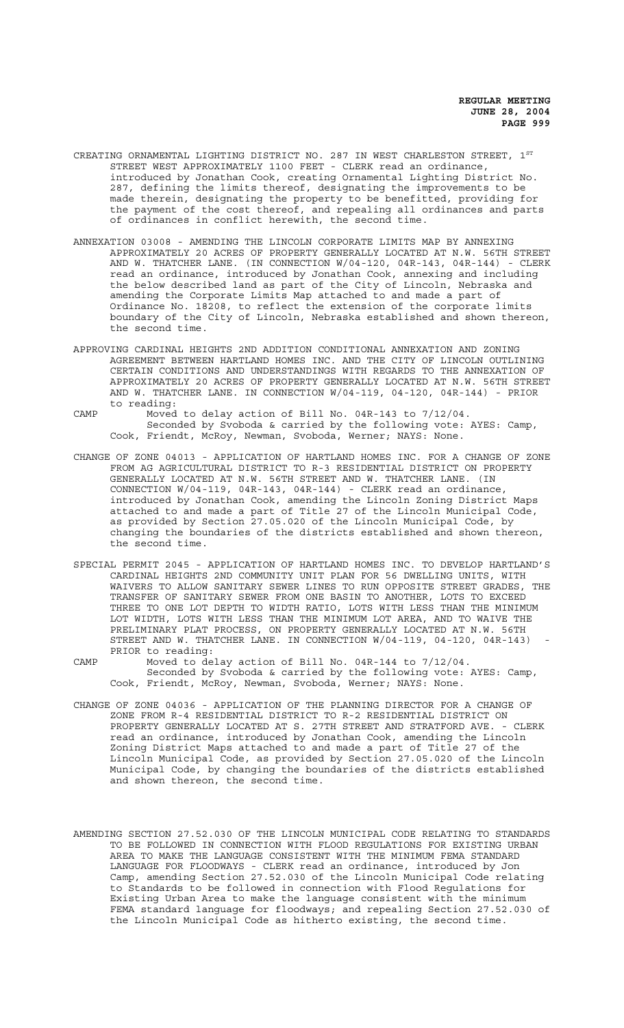- CREATING ORNAMENTAL LIGHTING DISTRICT NO. 287 IN WEST CHARLESTON STREET, 1<sup>ST</sup> STREET WEST APPROXIMATELY 1100 FEET - CLERK read an ordinance, introduced by Jonathan Cook, creating Ornamental Lighting District No. 287, defining the limits thereof, designating the improvements to be made therein, designating the property to be benefitted, providing for the payment of the cost thereof, and repealing all ordinances and parts of ordinances in conflict herewith, the second time.
- ANNEXATION 03008 AMENDING THE LINCOLN CORPORATE LIMITS MAP BY ANNEXING APPROXIMATELY 20 ACRES OF PROPERTY GENERALLY LOCATED AT N.W. 56TH STREET AND W. THATCHER LANE. (IN CONNECTION W/04-120, 04R-143, 04R-144) - CLERK read an ordinance, introduced by Jonathan Cook, annexing and including the below described land as part of the City of Lincoln, Nebraska and amending the Corporate Limits Map attached to and made a part of Ordinance No. 18208, to reflect the extension of the corporate limits boundary of the City of Lincoln, Nebraska established and shown thereon, the second time.
- APPROVING CARDINAL HEIGHTS 2ND ADDITION CONDITIONAL ANNEXATION AND ZONING AGREEMENT BETWEEN HARTLAND HOMES INC. AND THE CITY OF LINCOLN OUTLINING CERTAIN CONDITIONS AND UNDERSTANDINGS WITH REGARDS TO THE ANNEXATION OF APPROXIMATELY 20 ACRES OF PROPERTY GENERALLY LOCATED AT N.W. 56TH STREET AND W. THATCHER LANE. IN CONNECTION W/04-119, 04-120, 04R-144) - PRIOR to reading:
- CAMP Moved to delay action of Bill No. 04R-143 to 7/12/04. Seconded by Svoboda & carried by the following vote: AYES: Camp, Cook, Friendt, McRoy, Newman, Svoboda, Werner; NAYS: None.
- CHANGE OF ZONE 04013 APPLICATION OF HARTLAND HOMES INC. FOR A CHANGE OF ZONE FROM AG AGRICULTURAL DISTRICT TO R-3 RESIDENTIAL DISTRICT ON PROPERTY GENERALLY LOCATED AT N.W. 56TH STREET AND W. THATCHER LANE. (IN CONNECTION W/04-119, 04R-143, 04R-144) - CLERK read an ordinance, introduced by Jonathan Cook, amending the Lincoln Zoning District Maps attached to and made a part of Title 27 of the Lincoln Municipal Code, as provided by Section 27.05.020 of the Lincoln Municipal Code, by changing the boundaries of the districts established and shown thereon, the second time.
- SPECIAL PERMIT 2045 APPLICATION OF HARTLAND HOMES INC. TO DEVELOP HARTLAND'S CARDINAL HEIGHTS 2ND COMMUNITY UNIT PLAN FOR 56 DWELLING UNITS, WITH WAIVERS TO ALLOW SANITARY SEWER LINES TO RUN OPPOSITE STREET GRADES, THE TRANSFER OF SANITARY SEWER FROM ONE BASIN TO ANOTHER, LOTS TO EXCEED THREE TO ONE LOT DEPTH TO WIDTH RATIO, LOTS WITH LESS THAN THE MINIMUM LOT WIDTH, LOTS WITH LESS THAN THE MINIMUM LOT AREA, AND TO WAIVE THE PRELIMINARY PLAT PROCESS, ON PROPERTY GENERALLY LOCATED AT N.W. 56TH STREET AND W. THATCHER LANE. IN CONNECTION W/04-119, 04-120, 04R-143) PRIOR to reading:
- CAMP Moved to delay action of Bill No. 04R-144 to 7/12/04. Seconded by Svoboda & carried by the following vote: AYES: Camp, Cook, Friendt, McRoy, Newman, Svoboda, Werner; NAYS: None.
- CHANGE OF ZONE 04036 APPLICATION OF THE PLANNING DIRECTOR FOR A CHANGE OF ZONE FROM R-4 RESIDENTIAL DISTRICT TO R-2 RESIDENTIAL DISTRICT ON PROPERTY GENERALLY LOCATED AT S. 27TH STREET AND STRATFORD AVE. - CLERK read an ordinance, introduced by Jonathan Cook, amending the Lincoln Zoning District Maps attached to and made a part of Title 27 of the Lincoln Municipal Code, as provided by Section 27.05.020 of the Lincoln Municipal Code, by changing the boundaries of the districts established and shown thereon, the second time.
- AMENDING SECTION 27.52.030 OF THE LINCOLN MUNICIPAL CODE RELATING TO STANDARDS TO BE FOLLOWED IN CONNECTION WITH FLOOD REGULATIONS FOR EXISTING URBAN AREA TO MAKE THE LANGUAGE CONSISTENT WITH THE MINIMUM FEMA STANDARD LANGUAGE FOR FLOODWAYS - CLERK read an ordinance, introduced by Jon Camp, amending Section 27.52.030 of the Lincoln Municipal Code relating to Standards to be followed in connection with Flood Regulations for Existing Urban Area to make the language consistent with the minimum FEMA standard language for floodways; and repealing Section 27.52.030 of the Lincoln Municipal Code as hitherto existing, the second time.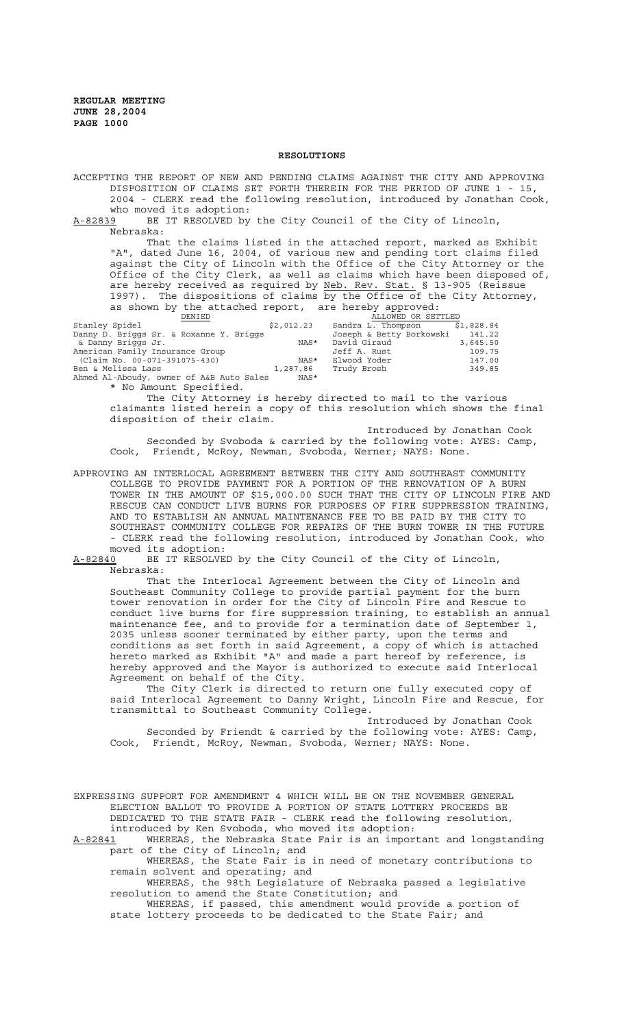#### **RESOLUTIONS**

ACCEPTING THE REPORT OF NEW AND PENDING CLAIMS AGAINST THE CITY AND APPROVING DISPOSITION OF CLAIMS SET FORTH THEREIN FOR THE PERIOD OF JUNE 1 - 15, 2004 - CLERK read the following resolution, introduced by Jonathan Cook, who moved its adoption:

A-82839 BE IT RESOLVED by the City Council of the City of Lincoln, Nebraska:

That the claims listed in the attached report, marked as Exhibit "A", dated June 16, 2004, of various new and pending tort claims filed against the City of Lincoln with the Office of the City Attorney or the Office of the City Clerk, as well as claims which have been disposed of, are hereby received as required by <u>Neb. Rev. Stat.</u> § 13-905 (Reissue are hereby received as required by Neb. Rev. Stat. § 13-905 (Reissue 1997). The dispositions of claims by the Office of the City Attorney, as shown by the attached report, are hereby approved:

| $\sim$ $\sim$ $\sim$ $\sim$ $\sim$ $\sim$ $\sim$ |        | $2110$ $00001100$ $100010$ |  | $\alpha$ is $\alpha$ is $\alpha$ is $\alpha$ is $\alpha$ is $\alpha$ is the set of $\alpha$ is the set of $\alpha$ is the set of $\alpha$ is the set of $\alpha$ is the set of $\alpha$ is the set of $\alpha$ is the set of $\alpha$ is the set of $\alpha$ is the set of $\alpha$ is th |  |                    |
|--------------------------------------------------|--------|----------------------------|--|-------------------------------------------------------------------------------------------------------------------------------------------------------------------------------------------------------------------------------------------------------------------------------------------|--|--------------------|
|                                                  | DENIED |                            |  |                                                                                                                                                                                                                                                                                           |  | ALLOWED OR SETTLED |

| Stanley Spidel                           | \$2,012.23 | Sandra L. Thompson       | \$1,828.84 |
|------------------------------------------|------------|--------------------------|------------|
| Danny D. Briggs Sr. & Roxanne Y. Briggs  |            | Joseph & Betty Borkowski | 141.22     |
| & Danny Briggs Jr.                       | NAS*       | David Giraud             | 3,645.50   |
| American Family Insurance Group          |            | Jeff A. Rust             | 109.75     |
| (Claim No. 00-071-391075-430)            | NAS*       | Elwood Yoder             | 147.00     |
| Ben & Melissa Lass                       | 1,287.86   | Trudy Brosh              | 349.85     |
| Ahmed Al-Aboudy, owner of A&B Auto Sales | NAS*       |                          |            |
| * No Amount Specified.                   |            |                          |            |

The City Attorney is hereby directed to mail to the various claimants listed herein a copy of this resolution which shows the final disposition of their claim.

Introduced by Jonathan Cook Seconded by Svoboda & carried by the following vote: AYES: Camp, Cook, Friendt, McRoy, Newman, Svoboda, Werner; NAYS: None.

APPROVING AN INTERLOCAL AGREEMENT BETWEEN THE CITY AND SOUTHEAST COMMUNITY COLLEGE TO PROVIDE PAYMENT FOR A PORTION OF THE RENOVATION OF A BURN TOWER IN THE AMOUNT OF \$15,000.00 SUCH THAT THE CITY OF LINCOLN FIRE AND RESCUE CAN CONDUCT LIVE BURNS FOR PURPOSES OF FIRE SUPPRESSION TRAINING, AND TO ESTABLISH AN ANNUAL MAINTENANCE FEE TO BE PAID BY THE CITY TO SOUTHEAST COMMUNITY COLLEGE FOR REPAIRS OF THE BURN TOWER IN THE FUTURE - CLERK read the following resolution, introduced by Jonathan Cook, who moved its adoption:

A-82840 BE IT RESOLVED by the City Council of the City of Lincoln, Nebraska:

That the Interlocal Agreement between the City of Lincoln and Southeast Community College to provide partial payment for the burn tower renovation in order for the City of Lincoln Fire and Rescue to conduct live burns for fire suppression training, to establish an annual maintenance fee, and to provide for a termination date of September 1, 2035 unless sooner terminated by either party, upon the terms and conditions as set forth in said Agreement, a copy of which is attached hereto marked as Exhibit "A" and made a part hereof by reference, is hereby approved and the Mayor is authorized to execute said Interlocal Agreement on behalf of the City.

The City Clerk is directed to return one fully executed copy of said Interlocal Agreement to Danny Wright, Lincoln Fire and Rescue, for transmittal to Southeast Community College.

Introduced by Jonathan Cook Seconded by Friendt & carried by the following vote: AYES: Camp, Cook, Friendt, McRoy, Newman, Svoboda, Werner; NAYS: None.

EXPRESSING SUPPORT FOR AMENDMENT 4 WHICH WILL BE ON THE NOVEMBER GENERAL ELECTION BALLOT TO PROVIDE A PORTION OF STATE LOTTERY PROCEEDS BE DEDICATED TO THE STATE FAIR - CLERK read the following resolution, introduced by Ken Svoboda, who moved its adoption:

A-82841 WHEREAS, the Nebraska State Fair is an important and longstanding part of the City of Lincoln; and

WHEREAS, the State Fair is in need of monetary contributions to remain solvent and operating; and

WHEREAS, the 98th Legislature of Nebraska passed a legislative resolution to amend the State Constitution; and

WHEREAS, if passed, this amendment would provide a portion of state lottery proceeds to be dedicated to the State Fair; and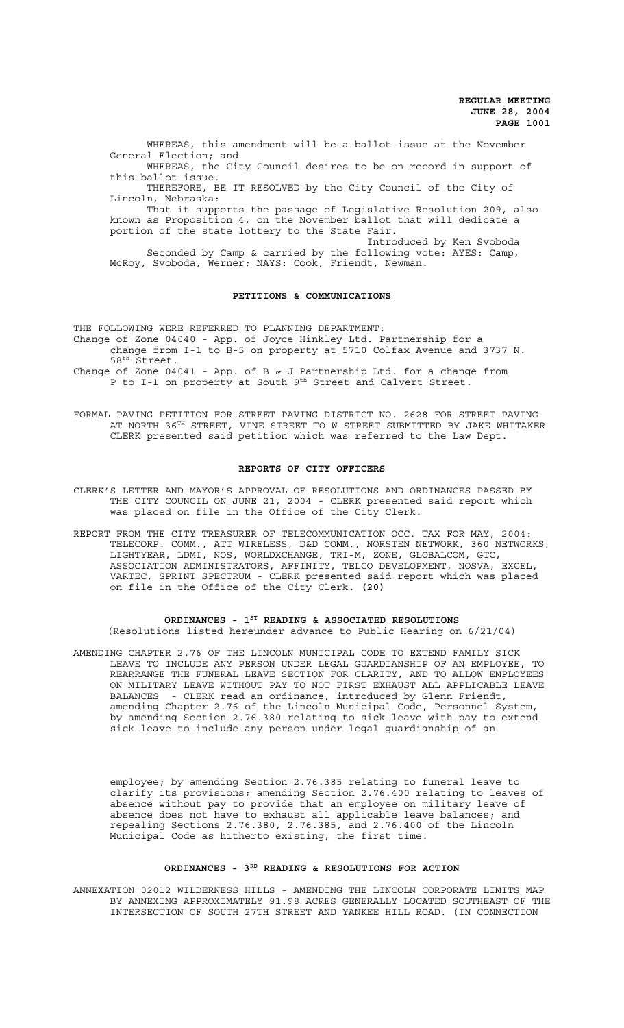WHEREAS, this amendment will be a ballot issue at the November General Election; and WHEREAS, the City Council desires to be on record in support of

this ballot issue. THEREFORE, BE IT RESOLVED by the City Council of the City of

Lincoln, Nebraska:

That it supports the passage of Legislative Resolution 209, also known as Proposition 4, on the November ballot that will dedicate a portion of the state lottery to the State Fair. Introduced by Ken Svoboda

Seconded by Camp & carried by the following vote: AYES: Camp, McRoy, Svoboda, Werner; NAYS: Cook, Friendt, Newman.

### **PETITIONS & COMMUNICATIONS**

THE FOLLOWING WERE REFERRED TO PLANNING DEPARTMENT:

Change of Zone 04040 - App. of Joyce Hinkley Ltd. Partnership for a change from I-1 to B-5 on property at 5710 Colfax Avenue and 3737 N.

58<sup>th</sup> Street. Change of Zone 04041 - App. of B & J Partnership Ltd. for a change from

P to I-1 on property at South 9<sup>th</sup> Street and Calvert Street.

FORMAL PAVING PETITION FOR STREET PAVING DISTRICT NO. 2628 FOR STREET PAVING AT NORTH 36TH STREET, VINE STREET TO W STREET SUBMITTED BY JAKE WHITAKER CLERK presented said petition which was referred to the Law Dept.

#### **REPORTS OF CITY OFFICERS**

CLERK'S LETTER AND MAYOR'S APPROVAL OF RESOLUTIONS AND ORDINANCES PASSED BY THE CITY COUNCIL ON JUNE 21, 2004 - CLERK presented said report which was placed on file in the Office of the City Clerk.

REPORT FROM THE CITY TREASURER OF TELECOMMUNICATION OCC. TAX FOR MAY, 2004: TELECORP. COMM., ATT WIRELESS, D&D COMM., NORSTEN NETWORK, 360 NETWORKS, LIGHTYEAR, LDMI, NOS, WORLDXCHANGE, TRI-M, ZONE, GLOBALCOM, GTC, ASSOCIATION ADMINISTRATORS, AFFINITY, TELCO DEVELOPMENT, NOSVA, EXCEL, VARTEC, SPRINT SPECTRUM - CLERK presented said report which was placed on file in the Office of the City Clerk. **(20)**

#### **ORDINANCES - 1ST READING & ASSOCIATED RESOLUTIONS**

(Resolutions listed hereunder advance to Public Hearing on 6/21/04)

AMENDING CHAPTER 2.76 OF THE LINCOLN MUNICIPAL CODE TO EXTEND FAMILY SICK LEAVE TO INCLUDE ANY PERSON UNDER LEGAL GUARDIANSHIP OF AN EMPLOYEE, TO REARRANGE THE FUNERAL LEAVE SECTION FOR CLARITY, AND TO ALLOW EMPLOYEES ON MILITARY LEAVE WITHOUT PAY TO NOT FIRST EXHAUST ALL APPLICABLE LEAVE BALANCES - CLERK read an ordinance, introduced by Glenn Friendt, amending Chapter 2.76 of the Lincoln Municipal Code, Personnel System, by amending Section 2.76.380 relating to sick leave with pay to extend sick leave to include any person under legal guardianship of an

employee; by amending Section 2.76.385 relating to funeral leave to clarify its provisions; amending Section 2.76.400 relating to leaves of absence without pay to provide that an employee on military leave of absence does not have to exhaust all applicable leave balances; and repealing Sections 2.76.380, 2.76.385, and 2.76.400 of the Lincoln Municipal Code as hitherto existing, the first time.

### **ORDINANCES - 3RD READING & RESOLUTIONS FOR ACTION**

ANNEXATION 02012 WILDERNESS HILLS - AMENDING THE LINCOLN CORPORATE LIMITS MAP BY ANNEXING APPROXIMATELY 91.98 ACRES GENERALLY LOCATED SOUTHEAST OF THE INTERSECTION OF SOUTH 27TH STREET AND YANKEE HILL ROAD. (IN CONNECTION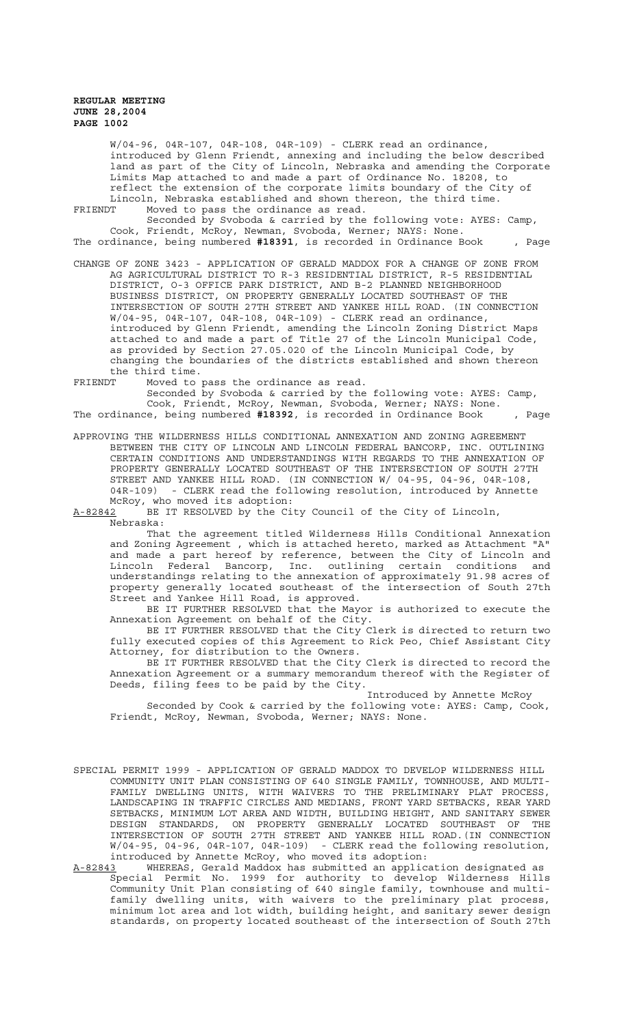W/04-96, 04R-107, 04R-108, 04R-109) - CLERK read an ordinance, introduced by Glenn Friendt, annexing and including the below described land as part of the City of Lincoln, Nebraska and amending the Corporate Limits Map attached to and made a part of Ordinance No. 18208, to reflect the extension of the corporate limits boundary of the City of Lincoln, Nebraska established and shown thereon, the third time.<br>FRIENDT Moved to pass the ordinance as read.

Moved to pass the ordinance as read.

Seconded by Svoboda & carried by the following vote: AYES: Camp, Cook, Friendt, McRoy, Newman, Svoboda, Werner; NAYS: None. The ordinance, being numbered **#18391**, is recorded in Ordinance Book , Page

- CHANGE OF ZONE 3423 APPLICATION OF GERALD MADDOX FOR A CHANGE OF ZONE FROM AG AGRICULTURAL DISTRICT TO R-3 RESIDENTIAL DISTRICT, R-5 RESIDENTIAL DISTRICT, O-3 OFFICE PARK DISTRICT, AND B-2 PLANNED NEIGHBORHOOD BUSINESS DISTRICT, ON PROPERTY GENERALLY LOCATED SOUTHEAST OF THE INTERSECTION OF SOUTH 27TH STREET AND YANKEE HILL ROAD. (IN CONNECTION W/04-95, 04R-107, 04R-108, 04R-109) - CLERK read an ordinance, introduced by Glenn Friendt, amending the Lincoln Zoning District Maps attached to and made a part of Title 27 of the Lincoln Municipal Code, as provided by Section 27.05.020 of the Lincoln Municipal Code, by changing the boundaries of the districts established and shown thereon the third time.
- FRIENDT Moved to pass the ordinance as read.

Seconded by Svoboda & carried by the following vote: AYES: Camp, Cook, Friendt, McRoy, Newman, Svoboda, Werner; NAYS: None. The ordinance, being numbered **#18392**, is recorded in Ordinance Book , Page

APPROVING THE WILDERNESS HILLS CONDITIONAL ANNEXATION AND ZONING AGREEMENT BETWEEN THE CITY OF LINCOLN AND LINCOLN FEDERAL BANCORP, INC. OUTLINING CERTAIN CONDITIONS AND UNDERSTANDINGS WITH REGARDS TO THE ANNEXATION OF PROPERTY GENERALLY LOCATED SOUTHEAST OF THE INTERSECTION OF SOUTH 27TH STREET AND YANKEE HILL ROAD. (IN CONNECTION W/ 04-95, 04-96, 04R-108, 04R-109) - CLERK read the following resolution, introduced by Annette McRoy, who moved its adoption:

A-82842 BE IT RESOLVED by the City Council of the City of Lincoln, Nebraska:

That the agreement titled Wilderness Hills Conditional Annexation and Zoning Agreement , which is attached hereto, marked as Attachment "A" and made a part hereof by reference, between the City of Lincoln and Lincoln Federal Bancorp, Inc. outlining certain conditions and and made a part noring one. Outlining certain conditions and<br>understandings relating to the annexation of approximately 91.98 acres of property generally located southeast of the intersection of South 27th Street and Yankee Hill Road, is approved.

BE IT FURTHER RESOLVED that the Mayor is authorized to execute the Annexation Agreement on behalf of the City.

BE IT FURTHER RESOLVED that the City Clerk is directed to return two fully executed copies of this Agreement to Rick Peo, Chief Assistant City Attorney, for distribution to the Owners.

BE IT FURTHER RESOLVED that the City Clerk is directed to record the Annexation Agreement or a summary memorandum thereof with the Register of Deeds, filing fees to be paid by the City.

Introduced by Annette McRoy Seconded by Cook & carried by the following vote: AYES: Camp, Cook, Friendt, McRoy, Newman, Svoboda, Werner; NAYS: None.

- SPECIAL PERMIT 1999 APPLICATION OF GERALD MADDOX TO DEVELOP WILDERNESS HILL COMMUNITY UNIT PLAN CONSISTING OF 640 SINGLE FAMILY, TOWNHOUSE, AND MULTI-FAMILY DWELLING UNITS, WITH WAIVERS TO THE PRELIMINARY PLAT PROCESS, LANDSCAPING IN TRAFFIC CIRCLES AND MEDIANS, FRONT YARD SETBACKS, REAR YARD SETBACKS, MINIMUM LOT AREA AND WIDTH, BUILDING HEIGHT, AND SANITARY SEWER DESIGN STANDARDS, ON PROPERTY GENERALLY LOCATED SOUTHEAST OF THE INTERSECTION OF SOUTH 27TH STREET AND YANKEE HILL ROAD.(IN CONNECTION W/04-95, 04-96, 04R-107, 04R-109) - CLERK read the following resolution, introduced by Annette McRoy, who moved its adoption:
- A-82843 MHEREAS, Gerald Maddox has submitted an application designated as Special Permit No. 1999 for authority to develop Wilderness Hills Community Unit Plan consisting of 640 single family, townhouse and multifamily dwelling units, with waivers to the preliminary plat process, minimum lot area and lot width, building height, and sanitary sewer design standards, on property located southeast of the intersection of South 27th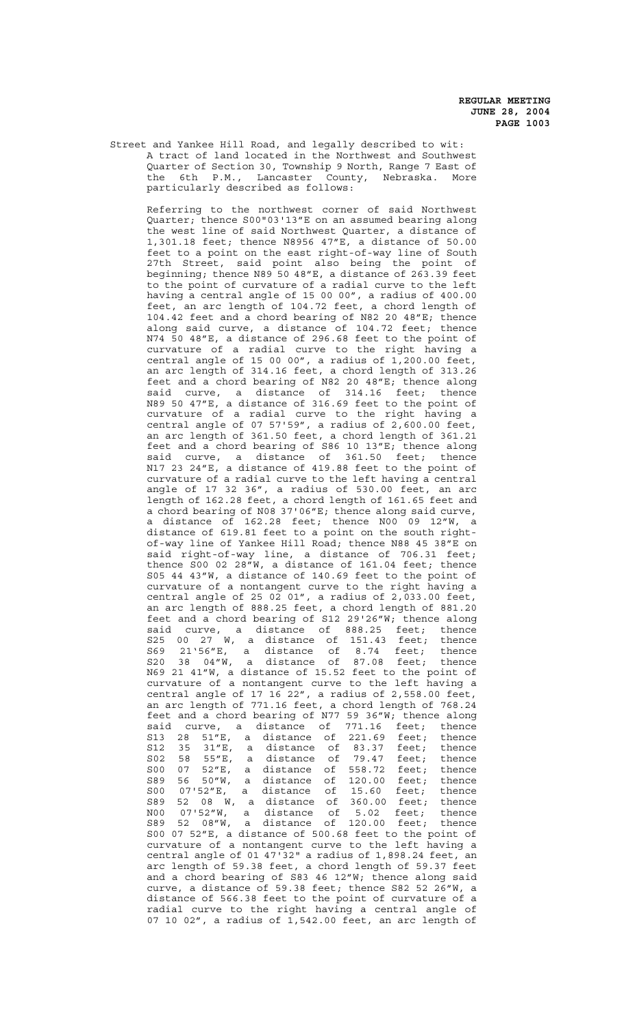Street and Yankee Hill Road, and legally described to wit: A tract of land located in the Northwest and Southwest Quarter of Section 30, Township 9 North, Range 7 East of the 6th P.M., Lancaster County, Nebraska. More particularly described as follows:

Referring to the northwest corner of said Northwest Quarter; thence S00"03'13"E on an assumed bearing along the west line of said Northwest Quarter, a distance of 1,301.18 feet; thence N8956 47"E, a distance of 50.00 feet to a point on the east right-of-way line of South 27th Street, said point also being the point of beginning; thence N89 50 48"E, a distance of 263.39 feet to the point of curvature of a radial curve to the left having a central angle of 15 00 00", a radius of 400.00 feet, an arc length of 104.72 feet, a chord length of 104.42 feet and a chord bearing of N82 20 48"E; thence along said curve, a distance of 104.72 feet; thence N74 50 48"E, a distance of 296.68 feet to the point of curvature of a radial curve to the right having a central angle of 15 00 00", a radius of  $1,200.00$  feet, an arc length of 314.16 feet, a chord length of 313.26 feet and a chord bearing of N82 20 48"E; thence along said curve, a distance of 314.16 feet; thence N89 50 47"E, a distance of 316.69 feet to the point of curvature of a radial curve to the right having a central angle of  $0757'59''$ , a radius of  $2,600.00$  feet, an arc length of 361.50 feet, a chord length of 361.21 feet and a chord bearing of S86 10 13"E; thence along said curve, a distance of 361.50 feet; thence N17 23 24"E, a distance of 419.88 feet to the point of curvature of a radial curve to the left having a central angle of 17 32 36", a radius of 530.00 feet, an arc length of 162.28 feet, a chord length of 161.65 feet and a chord bearing of N08 37'06"E; thence along said curve, a distance of 162.28 feet; thence N00 09 12"W, a distance of 619.81 feet to a point on the south rightof-way line of Yankee Hill Road; thence N88 45 38"E on said right-of-way line, a distance of 706.31 feet; thence S00 02 28"W, a distance of 161.04 feet; thence S05 44 43"W, a distance of 140.69 feet to the point of curvature of a nontangent curve to the right having a central angle of 25 02 01", a radius of 2,033.00 feet, an arc length of 888.25 feet, a chord length of 881.20 feet and a chord bearing of S12 29'26"W; thence along said curve, a distance of 888.25 feet; thence S25 00 27 W, a distance of 151.43 feet; thence S69 21'56"E, a distance of 8.74 feet; thence S20 38 04"W, a distance of 87.08 feet; thence N69 21 41"W, a distance of 15.52 feet to the point of curvature of a nontangent curve to the left having a central angle of 17 16 22", a radius of 2,558.00 feet, an arc length of 771.16 feet, a chord length of 768.24 feet and a chord bearing of N77 59 36"W; thence along said curve, a distance of 771.16 feet; thence S13 28 51"E, a distance of 221.69 feet; thence S12 35 31"E, a distance of 83.37 feet; thence S02 58 55"E, a distance of 79.47 feet; thence S00 07 52"E, a distance of 558.72 feet; thence S89 56 50"W, a distance of 120.00 feet; thence S00 07'52"E, a distance of 15.60 feet; thence<br>S89 52 08 W, a distance of 360.00 feet; thence S89 52 08 W, a distance of 360.00 feet; thence N00 07'52"W, a distance of 5.02 feet; thence S89 52 08"W, a distance of 120.00 feet; thence S00 07 52"E, a distance of 500.68 feet to the point of curvature of a nontangent curve to the left having a central angle of 01 47'32" a radius of 1,898.24 feet, an arc length of 59.38 feet, a chord length of 59.37 feet and a chord bearing of S83 46 12"W; thence along said curve, a distance of 59.38 feet; thence S82 52 26"W, a distance of 566.38 feet to the point of curvature of a radial curve to the right having a central angle of 07 10 02", a radius of 1,542.00 feet, an arc length of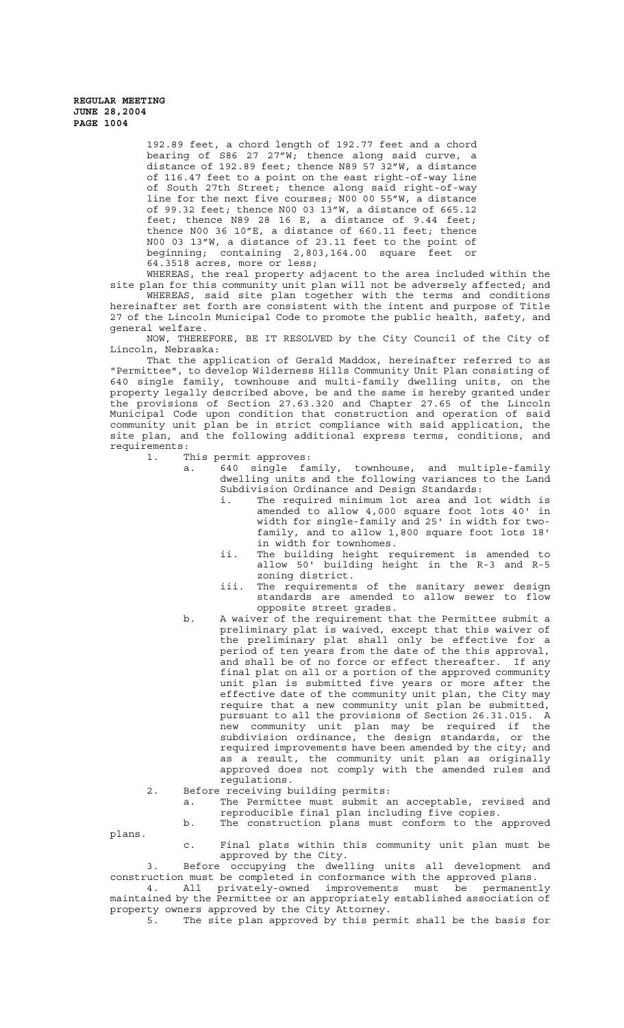> 192.89 feet, a chord length of 192.77 feet and a chord bearing of S86 27 27"W; thence along said curve, a distance of 192.89 feet; thence N89 57 32"W, a distance of 116.47 feet to a point on the east right-of-way line of South 27th Street; thence along said right-of-way line for the next five courses; N00 00 55"W, a distance of 99.32 feet; thence N00 03 13"W, a distance of 665.12 feet; thence N89 28 16 E, a distance of 9.44 feet; thence N00 36 10"E, a distance of 660.11 feet; thence N00 03 13"W, a distance of 23.11 feet to the point of beginning; containing 2,803,164.00 square feet or 64.3518 acres, more or less;

WHEREAS, the real property adjacent to the area included within the site plan for this community unit plan will not be adversely affected; and

WHEREAS, said site plan together with the terms and conditions hereinafter set forth are consistent with the intent and purpose of Title 27 of the Lincoln Municipal Code to promote the public health, safety, and general welfare.

NOW, THEREFORE, BE IT RESOLVED by the City Council of the City of Lincoln, Nebraska:

That the application of Gerald Maddox, hereinafter referred to as "Permittee", to develop Wilderness Hills Community Unit Plan consisting of 640 single family, townhouse and multi-family dwelling units, on the property legally described above, be and the same is hereby granted under the provisions of Section 27.63.320 and Chapter 27.65 of the Lincoln Municipal Code upon condition that construction and operation of said community unit plan be in strict compliance with said application, the site plan, and the following additional express terms, conditions, and requirements:

1. This permit approves:

- a. 640 single family, townhouse, and multiple-family dwelling units and the following variances to the Land Subdivision Ordinance and Design Standards:
	- i. The required minimum lot area and lot width is amended to allow 4,000 square foot lots 40' in width for single-family and 25' in width for twofamily, and to allow 1,800 square foot lots 18' in width for townhomes.
	- ii. The building height requirement is amended to allow 50' building height in the R-3 and R-5 zoning district.
	- iii. The requirements of the sanitary sewer design standards are amended to allow sewer to flow opposite street grades.
- b. A waiver of the requirement that the Permittee submit a preliminary plat is waived, except that this waiver of the preliminary plat shall only be effective for a period of ten years from the date of the this approval, and shall be of no force or effect thereafter. If any final plat on all or a portion of the approved community unit plan is submitted five years or more after the effective date of the community unit plan, the City may require that a new community unit plan be submitted, pursuant to all the provisions of Section 26.31.015. A new community unit plan may be required if the subdivision ordinance, the design standards, or the required improvements have been amended by the city; and as a result, the community unit plan as originally approved does not comply with the amended rules and regulations.
- 2. Before receiving building permits:
	- a. The Permittee must submit an acceptable, revised and reproducible final plan including five copies.

b. The construction plans must conform to the approved

plans.

c. Final plats within this community unit plan must be approved by the City.

3. Before occupying the dwelling units all development and construction must be completed in conformance with the approved plans. 4. All privately-owned improvements must be permanently

maintained by the Permittee or an appropriately established association of property owners approved by the City Attorney.

5. The site plan approved by this permit shall be the basis for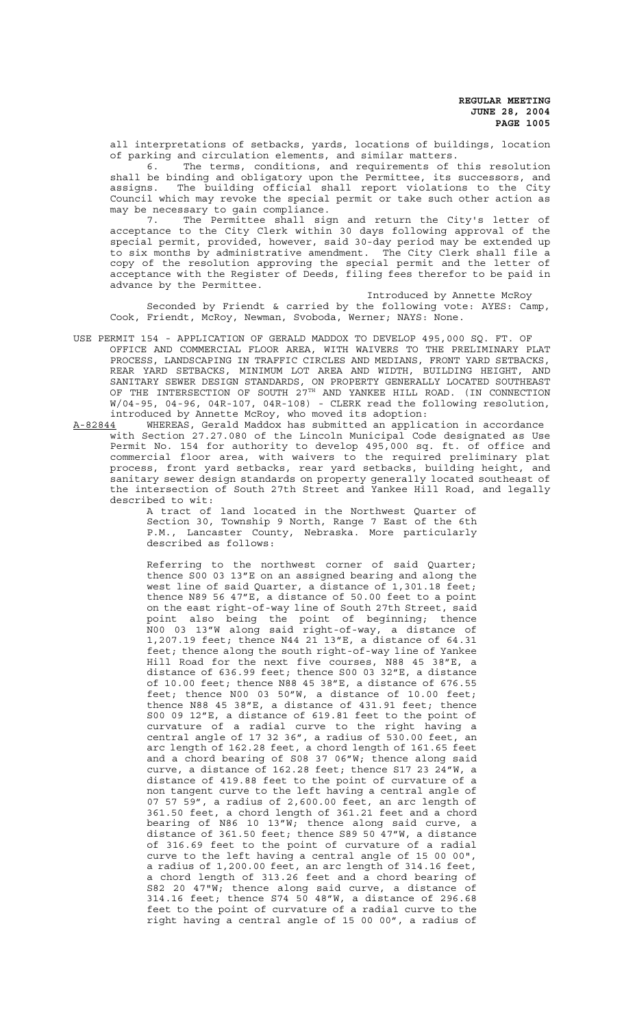all interpretations of setbacks, yards, locations of buildings, location of parking and circulation elements, and similar matters.

6. The terms, conditions, and requirements of this resolution shall be binding and obligatory upon the Permittee, its successors, and assigns. The building official shall report violations to the City Council which may revoke the special permit or take such other action as may be necessary to gain compliance.

7. The Permittee shall sign and return the City's letter of acceptance to the City Clerk within 30 days following approval of the special permit, provided, however, said 30-day period may be extended up to six months by administrative amendment. The City Clerk shall file a copy of the resolution approving the special permit and the letter of acceptance with the Register of Deeds, filing fees therefor to be paid in advance by the Permittee.

Introduced by Annette McRoy Seconded by Friendt & carried by the following vote: AYES: Camp, Cook, Friendt, McRoy, Newman, Svoboda, Werner; NAYS: None.

- USE PERMIT 154 APPLICATION OF GERALD MADDOX TO DEVELOP 495,000 SQ. FT. OF OFFICE AND COMMERCIAL FLOOR AREA, WITH WAIVERS TO THE PRELIMINARY PLAT PROCESS, LANDSCAPING IN TRAFFIC CIRCLES AND MEDIANS, FRONT YARD SETBACKS, REAR YARD SETBACKS, MINIMUM LOT AREA AND WIDTH, BUILDING HEIGHT, AND SANITARY SEWER DESIGN STANDARDS, ON PROPERTY GENERALLY LOCATED SOUTHEAST OF THE INTERSECTION OF SOUTH 27<sup>TH</sup> AND YANKEE HILL ROAD. (IN CONNECTION W/04-95, 04-96, 04R-107, 04R-108) - CLERK read the following resolution,
- introduced by Annette McRoy, who moved its adoption:<br>A-82844 WHEREAS, Gerald Maddox has submitted an applic WHEREAS, Gerald Maddox has submitted an application in accordance with Section 27.27.080 of the Lincoln Municipal Code designated as Use Permit No. 154 for authority to develop 495,000 sq. ft. of office and commercial floor area, with waivers to the required preliminary plat process, front yard setbacks, rear yard setbacks, building height, and sanitary sewer design standards on property generally located southeast of the intersection of South 27th Street and Yankee Hill Road, and legally described to wit:

A tract of land located in the Northwest Quarter of Section 30, Township 9 North, Range 7 East of the 6th P.M., Lancaster County, Nebraska. More particularly described as follows:

Referring to the northwest corner of said Quarter; thence S00 03 13"E on an assigned bearing and along the west line of said Quarter, a distance of 1,301.18 feet; thence N89 56 47"E, a distance of 50.00 feet to a point on the east right-of-way line of South 27th Street, said point also being the point of beginning; thence N00 03 13"W along said right-of-way, a distance of 1,207.19 feet; thence N44 21 13"E, a distance of 64.31 feet; thence along the south right-of-way line of Yankee Hill Road for the next five courses, N88 45 38"E, a distance of 636.99 feet; thence S00 03 32"E, a distance of 10.00 feet; thence N88 45 38"E, a distance of 676.55 feet; thence N00 03 50"W, a distance of 10.00 feet; thence N88 45 38"E, a distance of 431.91 feet; thence S00 09 12"E, a distance of 619.81 feet to the point of curvature of a radial curve to the right having a central angle of 17 32 36", a radius of 530.00 feet, an arc length of 162.28 feet, a chord length of 161.65 feet and a chord bearing of S08 37 06"W; thence along said curve, a distance of 162.28 feet; thence S17 23 24"W, a distance of 419.88 feet to the point of curvature of a non tangent curve to the left having a central angle of 07 57 59", a radius of 2,600.00 feet, an arc length of 361.50 feet, a chord length of 361.21 feet and a chord bearing of  $N86$  10 13"W; thence along said curve, a distance of 361.50 feet; thence S89 50 47"W, a distance of 316.69 feet to the point of curvature of a radial curve to the left having a central angle of 15 00 00", a radius of 1,200.00 feet, an arc length of 314.16 feet, a chord length of 313.26 feet and a chord bearing of S82 20 47"W; thence along said curve, a distance of 314.16 feet; thence S74 50 48"W, a distance of 296.68 feet to the point of curvature of a radial curve to the right having a central angle of 15 00 00", a radius of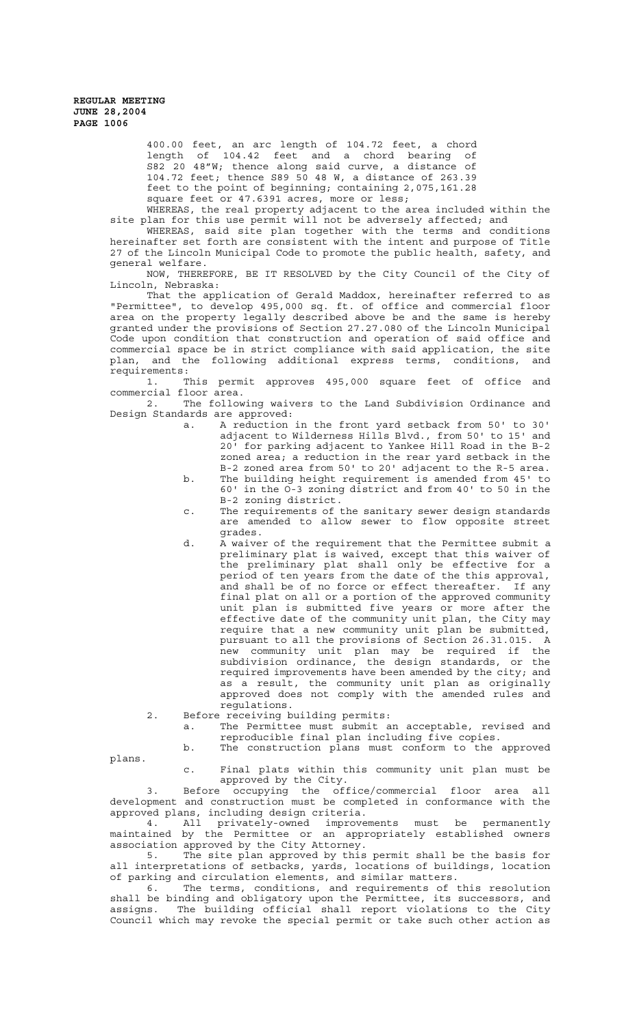> 400.00 feet, an arc length of 104.72 feet, a chord length of 104.42 feet and a chord bearing of S82 20 48"W; thence along said curve, a distance of 104.72 feet; thence S89 50 48 W, a distance of 263.39 feet to the point of beginning; containing 2,075,161.28 square feet or 47.6391 acres, more or less;

WHEREAS, the real property adjacent to the area included within the site plan for this use permit will not be adversely affected; and

WHEREAS, said site plan together with the terms and conditions hereinafter set forth are consistent with the intent and purpose of Title 27 of the Lincoln Municipal Code to promote the public health, safety, and general welfare.

NOW, THEREFORE, BE IT RESOLVED by the City Council of the City of Lincoln, Nebraska:

That the application of Gerald Maddox, hereinafter referred to as "Permittee", to develop 495,000 sq. ft. of office and commercial floor area on the property legally described above be and the same is hereby granted under the provisions of Section 27.27.080 of the Lincoln Municipal Code upon condition that construction and operation of said office and commercial space be in strict compliance with said application, the site plan, and the following additional express terms, conditions, and requirements:

1. This permit approves 495,000 square feet of office and commercial floor area.<br>2. The follow

The following waivers to the Land Subdivision Ordinance and Design Standards are approved:

- a. A reduction in the front yard setback from 50' to 30' adjacent to Wilderness Hills Blvd., from 50' to 15' and 20' for parking adjacent to Yankee Hill Road in the B-2 zoned area; a reduction in the rear yard setback in the B-2 zoned area from 50' to 20' adjacent to the R-5 area.
- b. The building height requirement is amended from 45' to 60' in the O-3 zoning district and from 40' to 50 in the B-2 zoning district.
- c. The requirements of the sanitary sewer design standards are amended to allow sewer to flow opposite street grades.
- d. A waiver of the requirement that the Permittee submit a preliminary plat is waived, except that this waiver of the preliminary plat shall only be effective for a period of ten years from the date of the this approval, and shall be of no force or effect thereafter. If any final plat on all or a portion of the approved community unit plan is submitted five years or more after the effective date of the community unit plan, the City may require that a new community unit plan be submitted, pursuant to all the provisions of Section 26.31.015. A new community unit plan may be required if the subdivision ordinance, the design standards, or the required improvements have been amended by the city; and as a result, the community unit plan as originally approved does not comply with the amended rules and regulations.
- 2. Before receiving building permits:

a. The Permittee must submit an acceptable, revised and reproducible final plan including five copies.

b. The construction plans must conform to the approved

plans.

c. Final plats within this community unit plan must be approved by the City.

3. Before occupying the office/commercial floor area all development and construction must be completed in conformance with the approved plans, including design criteria.

4. All privately-owned improvements must be permanently maintained by the Permittee or an appropriately established owners association approved by the City Attorney.

5. The site plan approved by this permit shall be the basis for all interpretations of setbacks, yards, locations of buildings, location of parking and circulation elements, and similar matters.

6. The terms, conditions, and requirements of this resolution shall be binding and obligatory upon the Permittee, its successors, and assigns. The building official shall report violations to the City Council which may revoke the special permit or take such other action as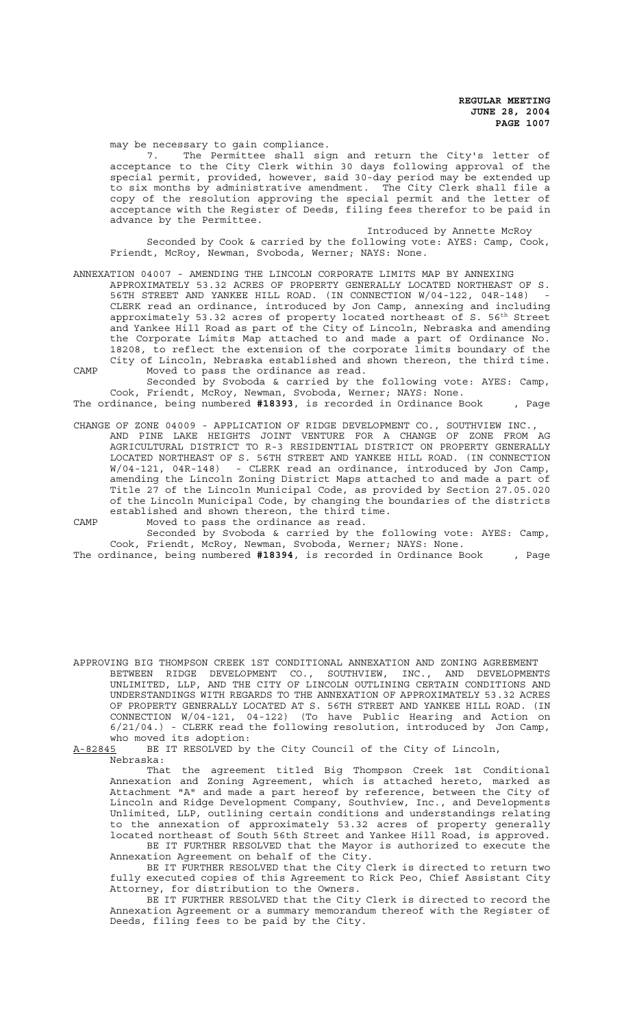may be necessary to gain compliance.

7. The Permittee shall sign and return the City's letter of acceptance to the City Clerk within 30 days following approval of the special permit, provided, however, said 30-day period may be extended up to six months by administrative amendment. The City Clerk shall file a copy of the resolution approving the special permit and the letter of acceptance with the Register of Deeds, filing fees therefor to be paid in advance by the Permittee.

Introduced by Annette McRoy Seconded by Cook & carried by the following vote: AYES: Camp, Cook, Friendt, McRoy, Newman, Svoboda, Werner; NAYS: None.

### ANNEXATION 04007 - AMENDING THE LINCOLN CORPORATE LIMITS MAP BY ANNEXING

APPROXIMATELY 53.32 ACRES OF PROPERTY GENERALLY LOCATED NORTHEAST OF S. 56TH STREET AND YANKEE HILL ROAD. (IN CONNECTION W/04-122, 04R-148) CLERK read an ordinance, introduced by Jon Camp, annexing and including approximately 53.32 acres of property located northeast of S. 56<sup>th</sup> Street and Yankee Hill Road as part of the City of Lincoln, Nebraska and amending the Corporate Limits Map attached to and made a part of Ordinance No. 18208, to reflect the extension of the corporate limits boundary of the City of Lincoln, Nebraska established and shown thereon, the third time. CAMP Moved to pass the ordinance as read.

Seconded by Svoboda & carried by the following vote: AYES: Camp, Cook, Friendt, McRoy, Newman, Svoboda, Werner; NAYS: None.

The ordinance, being numbered **#18393**, is recorded in Ordinance Book , Page

CHANGE OF ZONE 04009 - APPLICATION OF RIDGE DEVELOPMENT CO., SOUTHVIEW INC., AND PINE LAKE HEIGHTS JOINT VENTURE FOR A CHANGE OF ZONE FROM AG AGRICULTURAL DISTRICT TO R-3 RESIDENTIAL DISTRICT ON PROPERTY GENERALLY LOCATED NORTHEAST OF S. 56TH STREET AND YANKEE HILL ROAD. (IN CONNECTION W/04-121, 04R-148) - CLERK read an ordinance, introduced by Jon Camp, amending the Lincoln Zoning District Maps attached to and made a part of Title 27 of the Lincoln Municipal Code, as provided by Section 27.05.020 of the Lincoln Municipal Code, by changing the boundaries of the districts established and shown thereon, the third time.

CAMP Moved to pass the ordinance as read.

Seconded by Svoboda & carried by the following vote: AYES: Camp, Cook, Friendt, McRoy, Newman, Svoboda, Werner; NAYS: None.

The ordinance, being numbered **#18394**, is recorded in Ordinance Book , Page

APPROVING BIG THOMPSON CREEK 1ST CONDITIONAL ANNEXATION AND ZONING AGREEMENT BETWEEN RIDGE DEVELOPMENT CO., SOUTHVIEW, INC., AND DEVELOPMENTS UNLIMITED, LLP, AND THE CITY OF LINCOLN OUTLINING CERTAIN CONDITIONS AND UNDERSTANDINGS WITH REGARDS TO THE ANNEXATION OF APPROXIMATELY 53.32 ACRES OF PROPERTY GENERALLY LOCATED AT S. 56TH STREET AND YANKEE HILL ROAD. (IN CONNECTION W/04-121, 04-122) (To have Public Hearing and Action on 6/21/04.) - CLERK read the following resolution, introduced by Jon Camp, who moved its adoption:<br>A-82845 BE IT RESOLVED by

BE IT RESOLVED by the City Council of the City of Lincoln, Nebraska:

That the agreement titled Big Thompson Creek 1st Conditional Annexation and Zoning Agreement, which is attached hereto, marked as Attachment "A" and made a part hereof by reference, between the City of Lincoln and Ridge Development Company, Southview, Inc., and Developments Unlimited, LLP, outlining certain conditions and understandings relating to the annexation of approximately 53.32 acres of property generally located northeast of South 56th Street and Yankee Hill Road, is approved.

BE IT FURTHER RESOLVED that the Mayor is authorized to execute the Annexation Agreement on behalf of the City.

BE IT FURTHER RESOLVED that the City Clerk is directed to return two fully executed copies of this Agreement to Rick Peo, Chief Assistant City Attorney, for distribution to the Owners.

BE IT FURTHER RESOLVED that the City Clerk is directed to record the Annexation Agreement or a summary memorandum thereof with the Register of Deeds, filing fees to be paid by the City.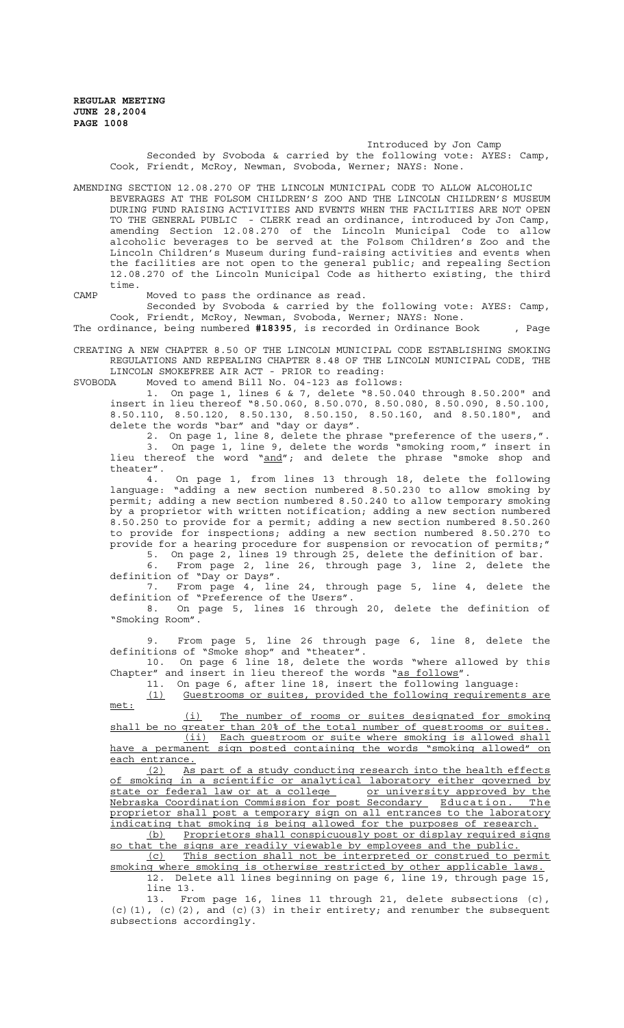#### Introduced by Jon Camp

Seconded by Svoboda & carried by the following vote: AYES: Camp, Cook, Friendt, McRoy, Newman, Svoboda, Werner; NAYS: None.

AMENDING SECTION 12.08.270 OF THE LINCOLN MUNICIPAL CODE TO ALLOW ALCOHOLIC BEVERAGES AT THE FOLSOM CHILDREN'S ZOO AND THE LINCOLN CHILDREN'S MUSEUM DURING FUND RAISING ACTIVITIES AND EVENTS WHEN THE FACILITIES ARE NOT OPEN TO THE GENERAL PUBLIC - CLERK read an ordinance, introduced by Jon Camp, amending Section 12.08.270 of the Lincoln Municipal Code to allow alcoholic beverages to be served at the Folsom Children's Zoo and the Lincoln Children's Museum during fund-raising activities and events when the facilities are not open to the general public; and repealing Section 12.08.270 of the Lincoln Municipal Code as hitherto existing, the third time.

CAMP Moved to pass the ordinance as read.

Seconded by Svoboda & carried by the following vote: AYES: Camp, Cook, Friendt, McRoy, Newman, Svoboda, Werner; NAYS: None.

The ordinance, being numbered **#18395**, is recorded in Ordinance Book , Page

CREATING A NEW CHAPTER 8.50 OF THE LINCOLN MUNICIPAL CODE ESTABLISHING SMOKING REGULATIONS AND REPEALING CHAPTER 8.48 OF THE LINCOLN MUNICIPAL CODE, THE LINCOLN SMOKEFREE AIR ACT - PRIOR to reading:

SVOBODA Moved to amend Bill No. 04-123 as follows:

1. On page 1, lines 6 & 7, delete "8.50.040 through 8.50.200" and insert in lieu thereof "8.50.060, 8.50.070, 8.50.080, 8.50.090, 8.50.100, 8.50.110, 8.50.120, 8.50.130, 8.50.150, 8.50.160, and 8.50.180", and delete the words "bar" and "day or days".

2. On page 1, line 8, delete the phrase "preference of the users,". 3. On page 1, line 9, delete the words "smoking room," insert in lieu thereof the word "and"; and delete the phrase "smoke shop and theater".

4. On page 1, from lines 13 through 18, delete the following language: "adding a new section numbered 8.50.230 to allow smoking by permit; adding a new section numbered 8.50.240 to allow temporary smoking by a proprietor with written notification; adding a new section numbered 8.50.250 to provide for a permit; adding a new section numbered 8.50.260 to provide for inspections; adding a new section numbered 8.50.270 to provide for a hearing procedure for suspension or revocation of permits;"

5. On page 2, lines 19 through 25, delete the definition of bar. 6. From page 2, line 26, through page 3, line 2, delete the definition of "Day or Days".<br>7. From page 4, line 24, through page 5, line 4, delete the

7. From page 4, line 24, through page 5, line 4, delete the definition of "Preference of the Users".

8. On page 5, lines 16 through 20, delete the definition of "Smoking Room".

9. From page 5, line 26 through page 6, line 8, delete the definitions of "Smoke shop" and "theater".

10. On page 6 line 18, delete the words "where allowed by this Chapter" and insert in lieu thereof the words "as follows".

11. On page 6, after line 18, insert the following language:

(1) Guestrooms or suites, provided the following requirements are met:

(i) The number of rooms or suites designated for smoking shall be no greater than 20% of the total number of questrooms or suites. (ii) Each guestroom or suite where smoking is allowed shall have a permanent sign posted containing the words "smoking allowed" on

each entrance.

(2) As part of a study conducting research into the health effects of smoking in a scientific or analytical laboratory either governed by state or federal law or at a college or university approved by the Nebraska Coordination Commission for post Secondary Education. The proprietor shall post a temporary sign on all entrances to the laboratory indicating that smoking is being allowed for the purposes of research.

(b) Proprietors shall conspicuously post or display required signs so that the signs are readily viewable by employees and the public.

(c) This section shall not be interpreted or construed to permit smoking where smoking is otherwise restricted by other applicable laws. 12. Delete all lines beginning on page 6, line 19, through page 15,

line 13.

13. From page 16, lines 11 through 21, delete subsections (c),  $(c)$ (1),  $(c)$ (2), and  $(c)$ (3) in their entirety; and renumber the subsequent subsections accordingly.